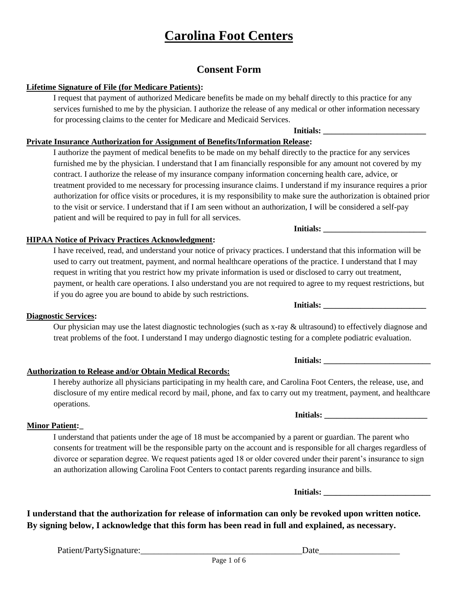# **Consent Form**

# **Lifetime Signature of File (for Medicare Patients):**

I request that payment of authorized Medicare benefits be made on my behalf directly to this practice for any services furnished to me by the physician. I authorize the release of any medical or other information necessary for processing claims to the center for Medicare and Medicaid Services.

**Initials: \_\_\_\_\_\_\_\_\_\_\_\_\_\_\_\_\_\_\_\_\_\_\_\_\_** 

# **Private Insurance Authorization for Assignment of Benefits/Information Release:**

I authorize the payment of medical benefits to be made on my behalf directly to the practice for any services furnished me by the physician. I understand that I am financially responsible for any amount not covered by my contract. I authorize the release of my insurance company information concerning health care, advice, or treatment provided to me necessary for processing insurance claims. I understand if my insurance requires a prior authorization for office visits or procedures, it is my responsibility to make sure the authorization is obtained prior to the visit or service. I understand that if I am seen without an authorization, I will be considered a self-pay patient and will be required to pay in full for all services.

## **HIPAA Notice of Privacy Practices Acknowledgment:**

I have received, read, and understand your notice of privacy practices. I understand that this information will be used to carry out treatment, payment, and normal healthcare operations of the practice. I understand that I may request in writing that you restrict how my private information is used or disclosed to carry out treatment, payment, or health care operations. I also understand you are not required to agree to my request restrictions, but if you do agree you are bound to abide by such restrictions. Initials:

## **Diagnostic Services:**

Our physician may use the latest diagnostic technologies (such as x-ray & ultrasound) to effectively diagnose and treat problems of the foot. I understand I may undergo diagnostic testing for a complete podiatric evaluation.

## **Authorization to Release and/or Obtain Medical Records:**

I hereby authorize all physicians participating in my health care, and Carolina Foot Centers, the release, use, and disclosure of my entire medical record by mail, phone, and fax to carry out my treatment, payment, and healthcare operations.

# **Minor Patient:\_**

I understand that patients under the age of 18 must be accompanied by a parent or guardian. The parent who consents for treatment will be the responsible party on the account and is responsible for all charges regardless of divorce or separation degree. We request patients aged 18 or older covered under their parent's insurance to sign an authorization allowing Carolina Foot Centers to contact parents regarding insurance and bills.

**I understand that the authorization for release of information can only be revoked upon written notice. By signing below, I acknowledge that this form has been read in full and explained, as necessary.** 

Patient/PartySignature:\_\_\_\_\_\_\_\_\_\_\_\_\_\_\_\_\_\_\_\_\_\_\_\_\_\_\_\_\_\_\_\_\_\_\_\_Date\_\_\_\_\_\_\_\_\_\_\_\_\_\_\_\_\_\_

**Initials: \_\_\_\_\_\_\_\_\_\_\_\_\_\_\_\_\_\_\_\_\_\_\_\_\_\_** 

**Initials:**  $\blacksquare$ 

 **Initials: \_\_\_\_\_\_\_\_\_\_\_\_\_\_\_\_\_\_\_\_\_\_\_\_\_\_** 

 **Initials: \_\_\_\_\_\_\_\_\_\_\_\_\_\_\_\_\_\_\_\_\_\_\_\_\_**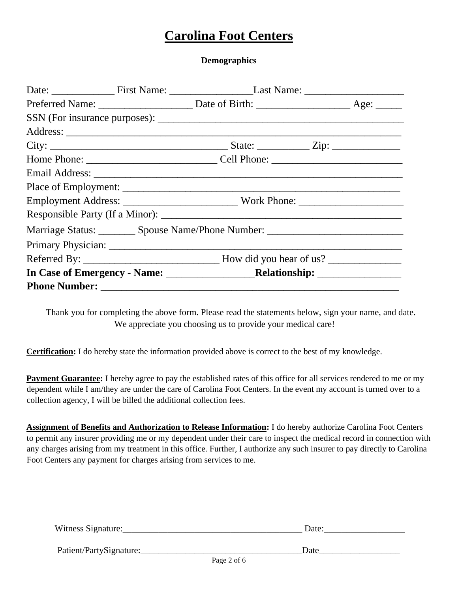**Demographics** 

|  | Employment Address: ___________________________Work Phone: _____________________  |  |
|--|-----------------------------------------------------------------------------------|--|
|  |                                                                                   |  |
|  | Marriage Status: __________ Spouse Name/Phone Number: ___________________________ |  |
|  |                                                                                   |  |
|  |                                                                                   |  |
|  |                                                                                   |  |
|  |                                                                                   |  |

Thank you for completing the above form. Please read the statements below, sign your name, and date. We appreciate you choosing us to provide your medical care!

**Certification:** I do hereby state the information provided above is correct to the best of my knowledge.

**Payment Guarantee:** I hereby agree to pay the established rates of this office for all services rendered to me or my dependent while I am/they are under the care of Carolina Foot Centers. In the event my account is turned over to a collection agency, I will be billed the additional collection fees.

**Assignment of Benefits and Authorization to Release Information:** I do hereby authorize Carolina Foot Centers to permit any insurer providing me or my dependent under their care to inspect the medical record in connection with any charges arising from my treatment in this office. Further, I authorize any such insurer to pay directly to Carolina Foot Centers any payment for charges arising from services to me.

| Witness Signature:      | Date:                           |
|-------------------------|---------------------------------|
| Patient/PartySignature: | Date<br>- - -<br><b>Service</b> |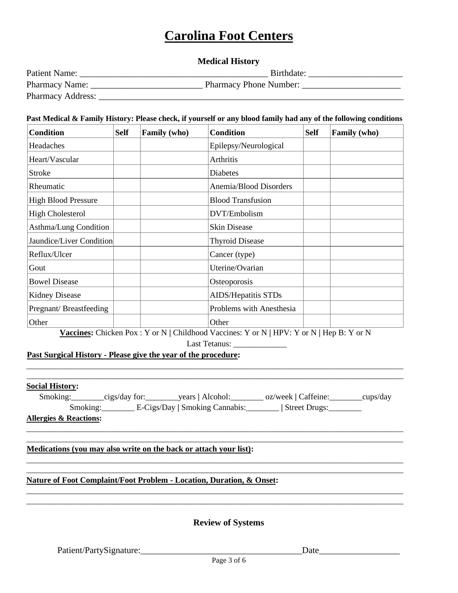# **Medical History**

| <b>Patient Name:</b>     | Birthdate:             |
|--------------------------|------------------------|
| Pharmacy Name:           | Pharmacy Phone Number: |
| <b>Pharmacy Address:</b> |                        |

#### **Past Medical & Family History: Please check, if yourself or any blood family had any of the following conditions**

| <b>Condition</b>           | <b>Self</b> | Family (who) | <b>Condition</b>         | <b>Self</b> | <b>Family</b> (who) |
|----------------------------|-------------|--------------|--------------------------|-------------|---------------------|
| Headaches                  |             |              | Epilepsy/Neurological    |             |                     |
| Heart/Vascular             |             |              | Arthritis                |             |                     |
| <b>Stroke</b>              |             |              | <b>Diabetes</b>          |             |                     |
| Rheumatic                  |             |              | Anemia/Blood Disorders   |             |                     |
| <b>High Blood Pressure</b> |             |              | <b>Blood Transfusion</b> |             |                     |
| <b>High Cholesterol</b>    |             |              | DVT/Embolism             |             |                     |
| Asthma/Lung Condition      |             |              | <b>Skin Disease</b>      |             |                     |
| Jaundice/Liver Condition   |             |              | <b>Thyroid Disease</b>   |             |                     |
| Reflux/Ulcer               |             |              | Cancer (type)            |             |                     |
| Gout                       |             |              | Uterine/Ovarian          |             |                     |
| <b>Bowel Disease</b>       |             |              | Osteoporosis             |             |                     |
| <b>Kidney Disease</b>      |             |              | AIDS/Hepatitis STDs      |             |                     |
| Pregnant/Breastfeeding     |             |              | Problems with Anesthesia |             |                     |
| Other                      |             |              | Other                    |             |                     |

**Vaccines:** Chicken Pox : Y or N **|** Childhood Vaccines: Y or N **|** HPV: Y or N **|** Hep B: Y or N

 $\Box$  . The contribution of the contribution of the contribution of the contribution of the contribution of the contribution of the contribution of the contribution of the contribution of the contribution of the contributi  $\_$  ,  $\_$  ,  $\_$  ,  $\_$  ,  $\_$  ,  $\_$  ,  $\_$  ,  $\_$  ,  $\_$  ,  $\_$  ,  $\_$  ,  $\_$  ,  $\_$  ,  $\_$  ,  $\_$  ,  $\_$  ,  $\_$  ,  $\_$  ,  $\_$  ,  $\_$  ,  $\_$  ,  $\_$  ,  $\_$  ,  $\_$  ,  $\_$  ,  $\_$  ,  $\_$  ,  $\_$  ,  $\_$  ,  $\_$  ,  $\_$  ,  $\_$  ,  $\_$  ,  $\_$  ,  $\_$  ,  $\_$  ,  $\_$  ,

Last Tetanus:

**Past Surgical History - Please give the year of the procedure:** 

#### **Social History:**

| Smoking: | $\equiv$ cigs/day for: | years   Alcohol:               | oz/week   Caffeine: | _cups/day |
|----------|------------------------|--------------------------------|---------------------|-----------|
| Smoking: |                        | E-Cigs/Day   Smoking Cannabis: | Street Drugs:       |           |

\_\_\_\_\_\_\_\_\_\_\_\_\_\_\_\_\_\_\_\_\_\_\_\_\_\_\_\_\_\_\_\_\_\_\_\_\_\_\_\_\_\_\_\_\_\_\_\_\_\_\_\_\_\_\_\_\_\_\_\_\_\_\_\_\_\_\_\_\_\_\_\_\_\_\_\_\_\_\_\_\_\_\_\_\_\_\_\_\_\_\_\_\_\_\_\_  $\Box$  . The contribution of the contribution of the contribution of the contribution of the contribution of the contribution of the contribution of the contribution of the contribution of the contribution of the contributi

 $\Box$ 

 $\Box$ 

**Allergies & Reactions:** 

**Medications (you may also write on the back or attach your list):** 

### **Nature of Foot Complaint/Foot Problem - Location, Duration, & Onset:**

**Review of Systems**

\_\_\_\_\_\_\_\_\_\_\_\_\_\_\_\_\_\_\_\_\_\_\_\_\_\_\_\_\_\_\_\_\_\_\_\_\_\_\_\_\_\_\_\_\_\_\_\_\_\_\_\_\_\_\_\_\_\_\_\_\_\_\_\_\_\_\_\_\_\_\_\_\_\_\_\_\_\_\_\_\_\_\_\_\_\_\_\_\_\_\_\_\_\_\_\_

Patient/PartySignature:\_\_\_\_\_\_\_\_\_\_\_\_\_\_\_\_\_\_\_\_\_\_\_\_\_\_\_\_\_\_\_\_\_\_\_\_Date\_\_\_\_\_\_\_\_\_\_\_\_\_\_\_\_\_\_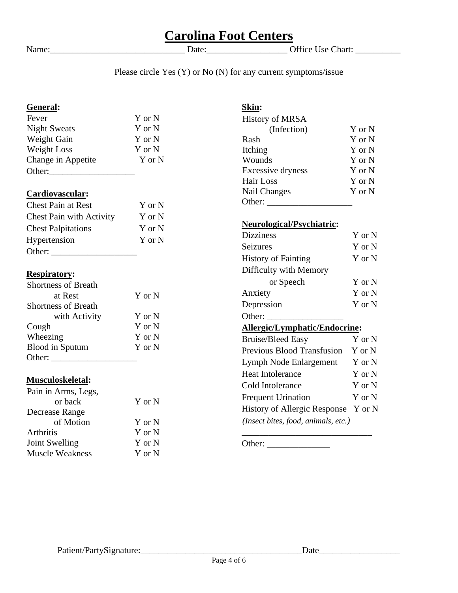Name:\_\_\_\_\_\_\_\_\_\_\_\_\_\_\_\_\_\_\_\_\_\_\_\_\_\_\_\_\_\_ Date:\_\_\_\_\_\_\_\_\_\_\_\_\_\_\_\_\_\_ Office Use Chart: \_\_\_\_\_\_\_\_\_\_

# Please circle Yes  $(Y)$  or No  $(N)$  for any current symptoms/issue

# **General:**

| Fever               | Y or N |
|---------------------|--------|
| <b>Night Sweats</b> | Y or N |
| Weight Gain         | Y or N |
| Weight Loss         | Y or N |
| Change in Appetite  | Y or N |
| Other:              |        |

# **Cardiovascular:**

| <b>Chest Pain at Rest</b>       | Y or N |
|---------------------------------|--------|
| <b>Chest Pain with Activity</b> | Y or N |
| <b>Chest Palpitations</b>       | Y or N |
| Hypertension                    | Y or N |
| Other:                          |        |

# **Respiratory:**

| <b>Shortness of Breath</b> |        |
|----------------------------|--------|
| at Rest                    | Y or N |
| <b>Shortness of Breath</b> |        |
| with Activity              | Y or N |
| Cough                      | Y or N |
| Wheezing                   | Y or N |
| <b>Blood</b> in Sputum     | Y or N |
| Other:                     |        |

# **Musculoskeletal:**

| Pain in Arms, Legs,    |        |
|------------------------|--------|
| or back                | Y or N |
| Decrease Range         |        |
| of Motion              | Y or N |
| Arthritis              | Y or N |
| Joint Swelling         | Y or N |
| <b>Muscle Weakness</b> | Y or N |
|                        |        |

# **Skin:**  History of MRSA (Infection) Y or N Rash Y or N Itching Y or N<br>Wounds Y or N Wounds Y or N Excessive dryness Y or N Hair Loss Y or N Nail Changes Y or N Other:  $\frac{c}{\sqrt{c}}$

# **Neurological/Psychiatric:**

| <b>Dizziness</b>                    | Y or N |  |
|-------------------------------------|--------|--|
| Seizures                            | Y or N |  |
| <b>History of Fainting</b>          | Y or N |  |
| Difficulty with Memory              |        |  |
| or Speech                           | Y or N |  |
| Anxiety                             | Y or N |  |
| Depression                          | Y or N |  |
| Other:                              |        |  |
| Allergic/Lymphatic/Endocrine:       |        |  |
| <b>Bruise/Bleed Easy</b>            | Y or N |  |
| Previous Blood Transfusion          | Y or N |  |
| Lymph Node Enlargement              | Y or N |  |
| <b>Heat Intolerance</b>             | Y or N |  |
| Cold Intolerance                    | Y or N |  |
| <b>Frequent Urination</b>           | Y or N |  |
| History of Allergic Response        | Y or N |  |
| (Insect bites, food, animals, etc.) |        |  |

Other: \_\_\_\_\_\_\_\_\_\_\_\_\_\_

 $\_$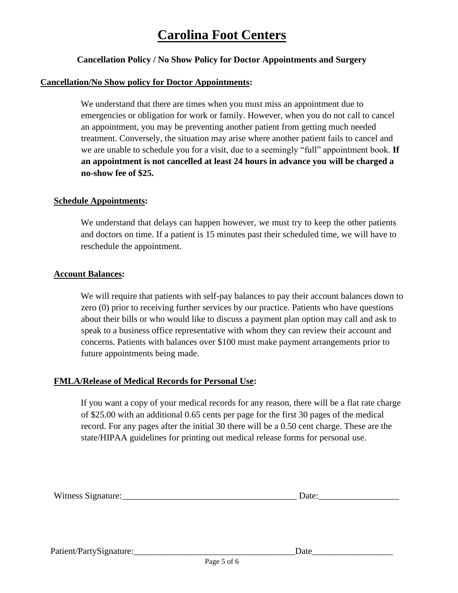# **Cancellation Policy / No Show Policy for Doctor Appointments and Surgery**

#### **Cancellation/No Show policy for Doctor Appointments:**

We understand that there are times when you must miss an appointment due to emergencies or obligation for work or family. However, when you do not call to cancel an appointment, you may be preventing another patient from getting much needed treatment. Conversely, the situation may arise where another patient fails to cancel and we are unable to schedule you for a visit, due to a seemingly "full" appointment book. **If an appointment is not cancelled at least 24 hours in advance you will be charged a no-show fee of \$25.**

### **Schedule Appointments:**

We understand that delays can happen however, we must try to keep the other patients and doctors on time. If a patient is 15 minutes past their scheduled time, we will have to reschedule the appointment.

### **Account Balances:**

We will require that patients with self-pay balances to pay their account balances down to zero (0) prior to receiving further services by our practice. Patients who have questions about their bills or who would like to discuss a payment plan option may call and ask to speak to a business office representative with whom they can review their account and concerns. Patients with balances over \$100 must make payment arrangements prior to future appointments being made.

## **FMLA/Release of Medical Records for Personal Use:**

If you want a copy of your medical records for any reason, there will be a flat rate charge of \$25.00 with an additional 0.65 cents per page for the first 30 pages of the medical record. For any pages after the initial 30 there will be a 0.50 cent charge. These are the state/HIPAA guidelines for printing out medical release forms for personal use.

| $- - -$<br>w<br>. LTIt<br>. |  |
|-----------------------------|--|
|                             |  |